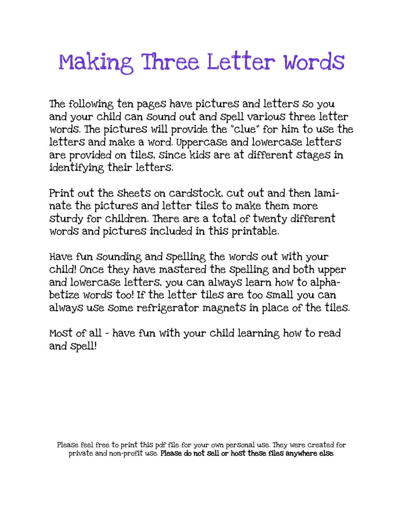## Making Three Letter Words

The following ten pages have pictures and letters so you and your child can sound out and spell various three letter words. The pictures will provide the "clue" for him to use the letters and make a word. Uppercase and lowercase letters are provided on tiles, since kids are at different stages in identifying their letters.

Print out the sheets on cardstock, cut out and then laminate the pictures and letter tiles to make them more sturdy for children. There are a total of twenty different words and pictures included in this printable.

Have fun sounding and spelling the words out with your child! Once they have mastered the spelling and both upper and lowercase letters, you can always learn how to alphabetize words too! If the letter tiles are too small you can always use some refrigerator magnets in place of the tiles.

Most of all - have fun with your child learning how to read and spell!

Please feel free to print this pdf file for your own personal use. They were created for private and non-profit use. Please do not sell or host these files anywhere else.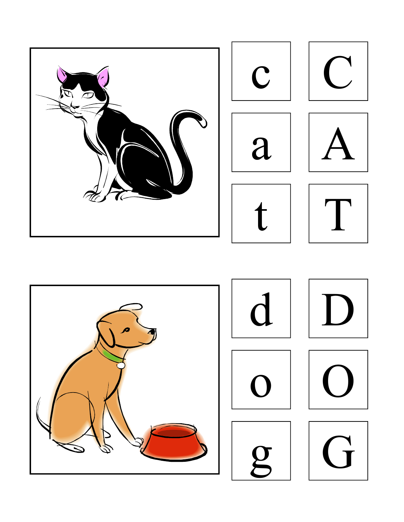

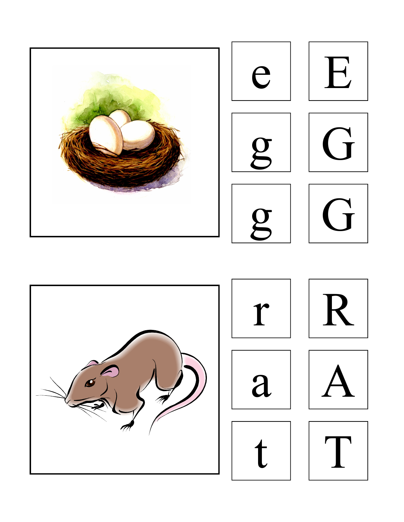

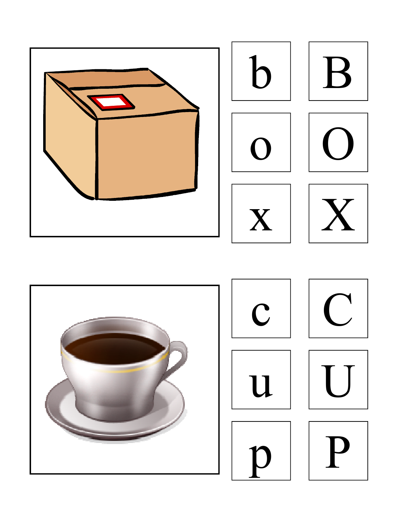

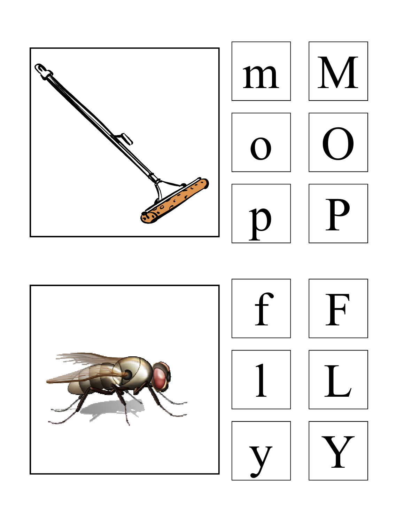

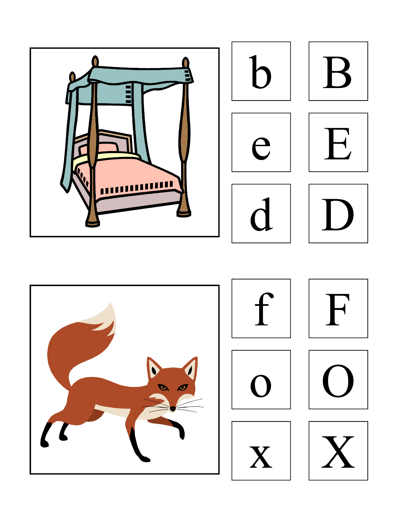

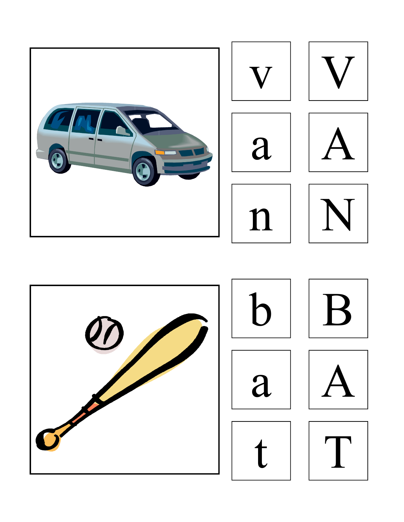

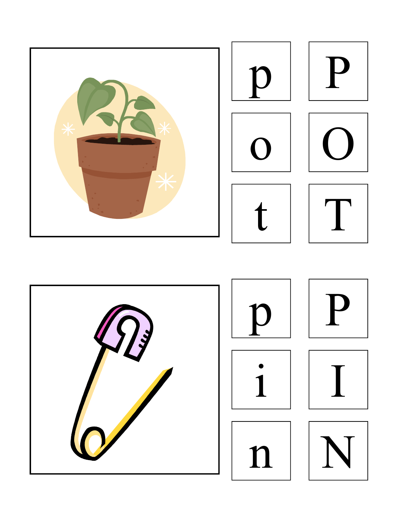

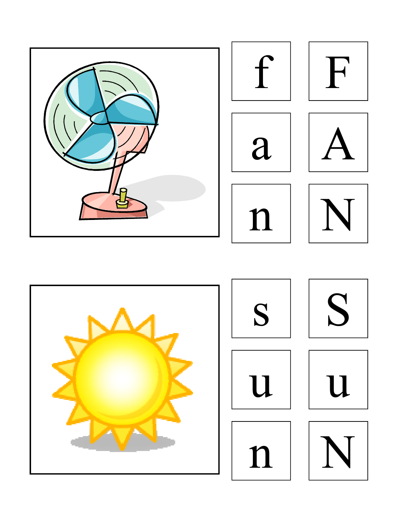

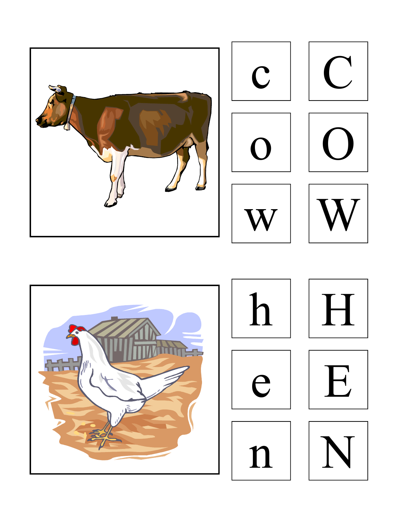